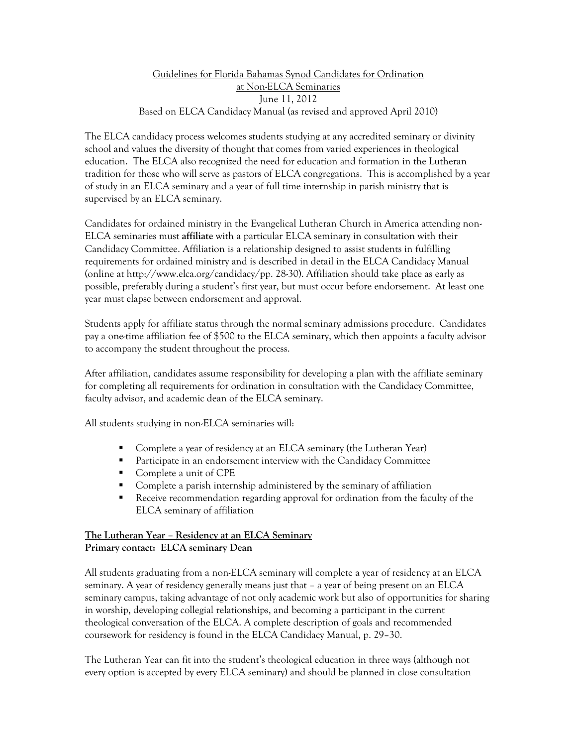### Guidelines for Florida Bahamas Synod Candidates for Ordination at Non-ELCA Seminaries June 11, 2012 Based on ELCA Candidacy Manual (as revised and approved April 2010)

The ELCA candidacy process welcomes students studying at any accredited seminary or divinity school and values the diversity of thought that comes from varied experiences in theological education. The ELCA also recognized the need for education and formation in the Lutheran tradition for those who will serve as pastors of ELCA congregations. This is accomplished by a year of study in an ELCA seminary and a year of full time internship in parish ministry that is supervised by an ELCA seminary.

Candidates for ordained ministry in the Evangelical Lutheran Church in America attending non-ELCA seminaries must **affiliate** with a particular ELCA seminary in consultation with their Candidacy Committee. Affiliation is a relationship designed to assist students in fulfilling requirements for ordained ministry and is described in detail in the ELCA Candidacy Manual (online at http://www.elca.org/candidacy/pp. 28-30). Affiliation should take place as early as possible, preferably during a student's first year, but must occur before endorsement. At least one year must elapse between endorsement and approval.

Students apply for affiliate status through the normal seminary admissions procedure. Candidates pay a one-time affiliation fee of \$500 to the ELCA seminary, which then appoints a faculty advisor to accompany the student throughout the process.

After affiliation, candidates assume responsibility for developing a plan with the affiliate seminary for completing all requirements for ordination in consultation with the Candidacy Committee, faculty advisor, and academic dean of the ELCA seminary.

All students studying in non-ELCA seminaries will:

- Complete a year of residency at an ELCA seminary (the Lutheran Year)
- **Participate in an endorsement interview with the Candidacy Committee**
- Complete a unit of CPE
- Complete a parish internship administered by the seminary of affiliation
- Receive recommendation regarding approval for ordination from the faculty of the ELCA seminary of affiliation

# **The Lutheran Year – Residency at an ELCA Seminary Primary contact: ELCA seminary Dean**

All students graduating from a non-ELCA seminary will complete a year of residency at an ELCA seminary. A year of residency generally means just that – a year of being present on an ELCA seminary campus, taking advantage of not only academic work but also of opportunities for sharing in worship, developing collegial relationships, and becoming a participant in the current theological conversation of the ELCA. A complete description of goals and recommended coursework for residency is found in the ELCA Candidacy Manual, p. 29–30.

The Lutheran Year can fit into the student's theological education in three ways (although not every option is accepted by every ELCA seminary) and should be planned in close consultation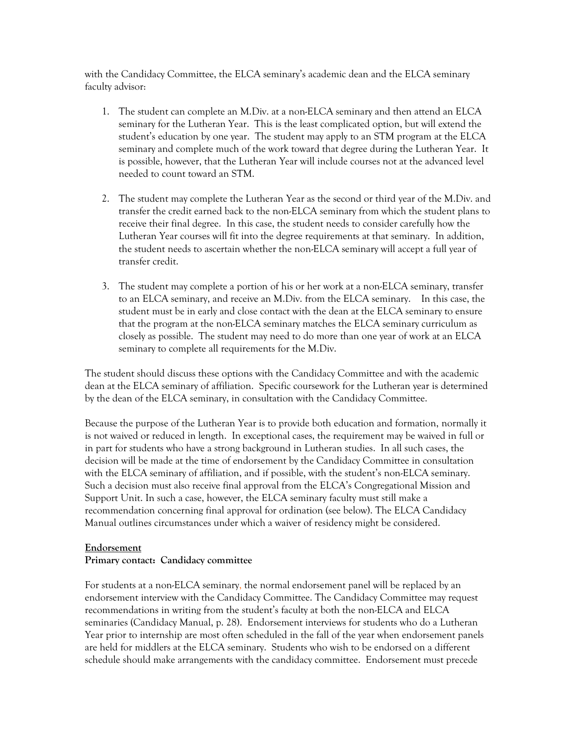with the Candidacy Committee, the ELCA seminary's academic dean and the ELCA seminary faculty advisor:

- 1. The student can complete an M.Div. at a non-ELCA seminary and then attend an ELCA seminary for the Lutheran Year. This is the least complicated option, but will extend the student's education by one year. The student may apply to an STM program at the ELCA seminary and complete much of the work toward that degree during the Lutheran Year. It is possible, however, that the Lutheran Year will include courses not at the advanced level needed to count toward an STM.
- 2. The student may complete the Lutheran Year as the second or third year of the M.Div. and transfer the credit earned back to the non-ELCA seminary from which the student plans to receive their final degree. In this case, the student needs to consider carefully how the Lutheran Year courses will fit into the degree requirements at that seminary. In addition, the student needs to ascertain whether the non-ELCA seminary will accept a full year of transfer credit.
- 3. The student may complete a portion of his or her work at a non-ELCA seminary, transfer to an ELCA seminary, and receive an M.Div. from the ELCA seminary. In this case, the student must be in early and close contact with the dean at the ELCA seminary to ensure that the program at the non-ELCA seminary matches the ELCA seminary curriculum as closely as possible. The student may need to do more than one year of work at an ELCA seminary to complete all requirements for the M.Div.

The student should discuss these options with the Candidacy Committee and with the academic dean at the ELCA seminary of affiliation. Specific coursework for the Lutheran year is determined by the dean of the ELCA seminary, in consultation with the Candidacy Committee.

Because the purpose of the Lutheran Year is to provide both education and formation, normally it is not waived or reduced in length. In exceptional cases, the requirement may be waived in full or in part for students who have a strong background in Lutheran studies. In all such cases, the decision will be made at the time of endorsement by the Candidacy Committee in consultation with the ELCA seminary of affiliation, and if possible, with the student's non-ELCA seminary. Such a decision must also receive final approval from the ELCA's Congregational Mission and Support Unit. In such a case, however, the ELCA seminary faculty must still make a recommendation concerning final approval for ordination (see below). The ELCA Candidacy Manual outlines circumstances under which a waiver of residency might be considered.

### **Endorsement**

#### **Primary contact: Candidacy committee**

For students at a non-ELCA seminary, the normal endorsement panel will be replaced by an endorsement interview with the Candidacy Committee. The Candidacy Committee may request recommendations in writing from the student's faculty at both the non-ELCA and ELCA seminaries (Candidacy Manual, p. 28). Endorsement interviews for students who do a Lutheran Year prior to internship are most often scheduled in the fall of the year when endorsement panels are held for middlers at the ELCA seminary. Students who wish to be endorsed on a different schedule should make arrangements with the candidacy committee. Endorsement must precede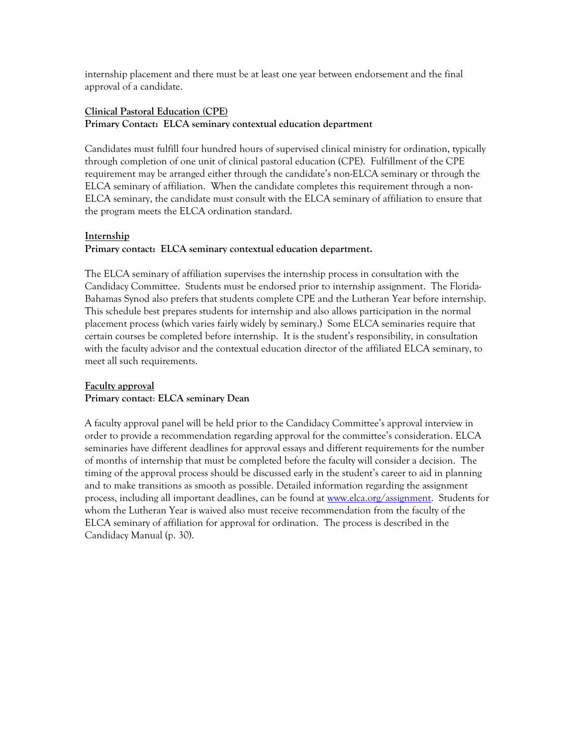internship placement and there must be at least one year between endorsement and the final approval of a candidate.

## **Clinical Pastoral Education (CPE) Primary Contact: ELCA seminary contextual education department**

Candidates must fulfill four hundred hours of supervised clinical ministry for ordination, typically through completion of one unit of clinical pastoral education (CPE). Fulfillment of the CPE requirement may be arranged either through the candidate's non-ELCA seminary or through the ELCA seminary of affiliation. When the candidate completes this requirement through a non-ELCA seminary, the candidate must consult with the ELCA seminary of affiliation to ensure that the program meets the ELCA ordination standard.

### **Internship**

### **Primary contact: ELCA seminary contextual education department.**

The ELCA seminary of affiliation supervises the internship process in consultation with the Candidacy Committee. Students must be endorsed prior to internship assignment. The Florida-Bahamas Synod also prefers that students complete CPE and the Lutheran Year before internship. This schedule best prepares students for internship and also allows participation in the normal placement process (which varies fairly widely by seminary.) Some ELCA seminaries require that certain courses be completed before internship. It is the student's responsibility, in consultation with the faculty advisor and the contextual education director of the affiliated ELCA seminary, to meet all such requirements.

### **Faculty approval Primary contact**: **ELCA seminary Dean**

A faculty approval panel will be held prior to the Candidacy Committee's approval interview in order to provide a recommendation regarding approval for the committee's consideration. ELCA seminaries have different deadlines for approval essays and different requirements for the number of months of internship that must be completed before the faculty will consider a decision. The timing of the approval process should be discussed early in the student's career to aid in planning and to make transitions as smooth as possible. Detailed information regarding the assignment process, including all important deadlines, can be found at [www.elca.org/assignment.](http://www.elca.org/assignment) Students for whom the Lutheran Year is waived also must receive recommendation from the faculty of the ELCA seminary of affiliation for approval for ordination. The process is described in the Candidacy Manual (p. 30).